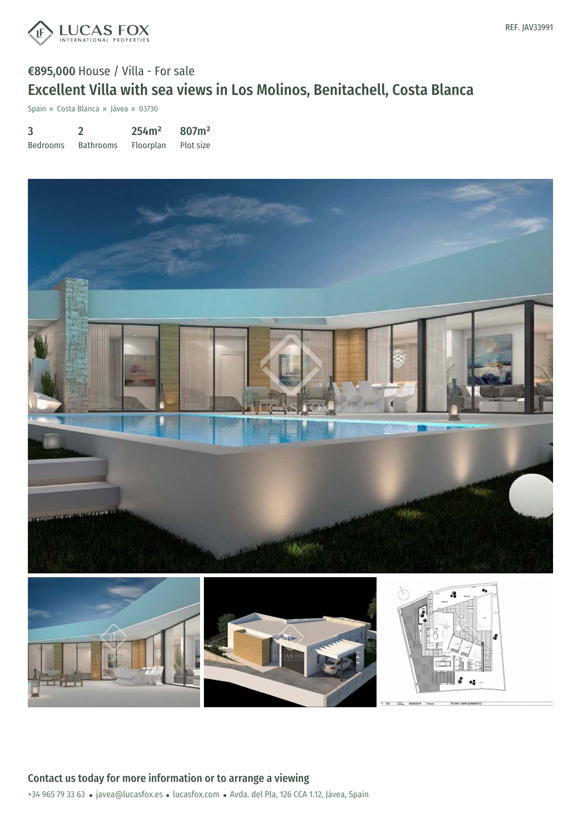

## €895,000 House / Villa - For sale Excellent Villa with sea views in Los Molinos, Benitachell, Costa Blanca

Spain » Costa Blanca » Jávea » 03730

| 3               |                  | 254m <sup>2</sup> | 807m <sup>2</sup> |
|-----------------|------------------|-------------------|-------------------|
| <b>Bedrooms</b> | <b>Bathrooms</b> | Floorplan         | Plot size         |

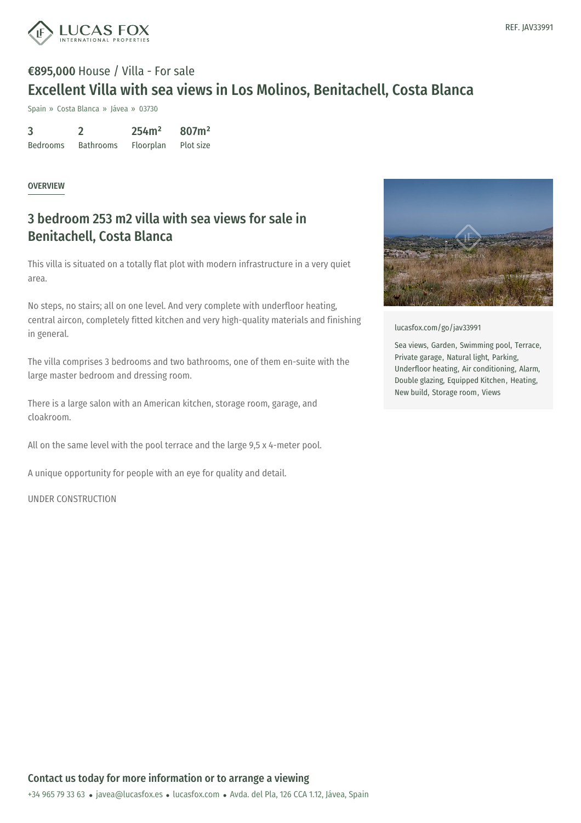

# €895,000 House / Villa - For sale Excellent Villa with sea views in Los Molinos, Benitachell, Costa Blanca

Spain » Costa Blanca » Jávea » 03730

| 3               |                  | 254m <sup>2</sup> | 807m <sup>2</sup> |
|-----------------|------------------|-------------------|-------------------|
| <b>Bedrooms</b> | <b>Bathrooms</b> | Floorplan         | Plot size         |

#### OVERVIEW

### 3 bedroom 253 m2 villa with sea views for sale in Benitachell, Costa Blanca

This villa is situated on a totally flat plot with modern infrastructure in a very quiet area.

No steps, no stairs; all on one level. And very complete with underfloor heating, central aircon, completely fitted kitchen and very high-quality materials and finishing in general.

The villa comprises 3 bedrooms and two bathrooms, one of them en-suite with the large master bedroom and dressing room.

There is a large salon with an American kitchen, storage room, garage, and cloakroom.

All on the same level with the pool terrace and the large 9,5 x 4-meter pool.

A unique opportunity for people with an eye for quality and detail.

UNDER CONSTRUCTION



[lucasfox.com/go/jav33991](https://www.lucasfox.com/go/jav33991)

Sea views, Garden, Swimming pool, Terrace, Private garage, Natural light, Parking, Underfloor heating, Air conditioning, Alarm, Double glazing, Equipped Kitchen, Heating, New build, Storage room, Views